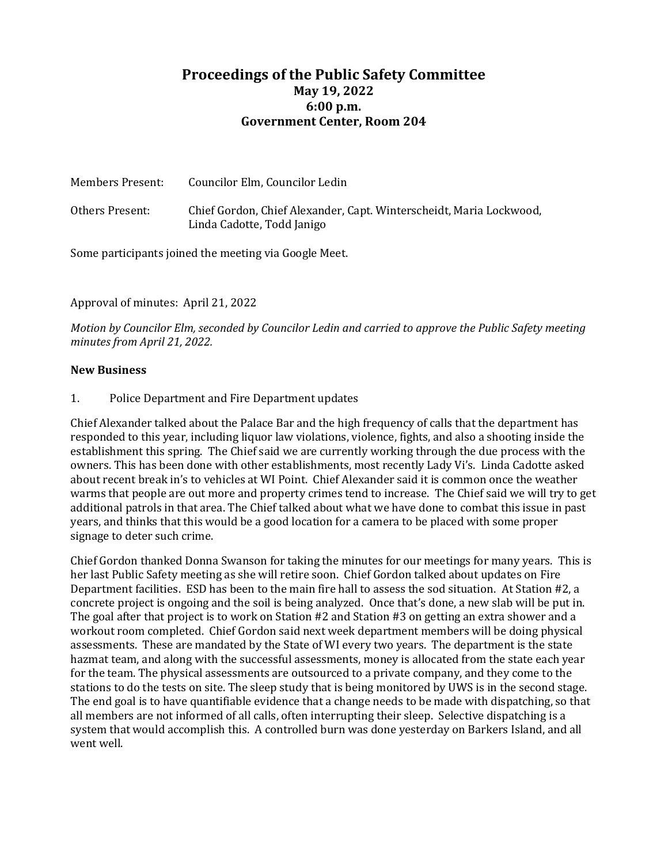## **Proceedings of the Public Safety Committee May 19, 2022 6:00 p.m. Government Center, Room 204**

| Members Present: | Councilor Elm, Councilor Ledin                                                                    |
|------------------|---------------------------------------------------------------------------------------------------|
| Others Present:  | Chief Gordon, Chief Alexander, Capt. Winterscheidt, Maria Lockwood,<br>Linda Cadotte, Todd Janigo |

Some participants joined the meeting via Google Meet.

Approval of minutes: April 21, 2022

*Motion by Councilor Elm, seconded by Councilor Ledin and carried to approve the Public Safety meeting minutes from April 21, 2022.* 

## **New Business**

1. Police Department and Fire Department updates

Chief Alexander talked about the Palace Bar and the high frequency of calls that the department has responded to this year, including liquor law violations, violence, fights, and also a shooting inside the establishment this spring. The Chief said we are currently working through the due process with the owners. This has been done with other establishments, most recently Lady Vi's. Linda Cadotte asked about recent break in's to vehicles at WI Point. Chief Alexander said it is common once the weather warms that people are out more and property crimes tend to increase. The Chief said we will try to get additional patrols in that area. The Chief talked about what we have done to combat this issue in past years, and thinks that this would be a good location for a camera to be placed with some proper signage to deter such crime.

Chief Gordon thanked Donna Swanson for taking the minutes for our meetings for many years. This is her last Public Safety meeting as she will retire soon. Chief Gordon talked about updates on Fire Department facilities. ESD has been to the main fire hall to assess the sod situation. At Station #2, a concrete project is ongoing and the soil is being analyzed. Once that's done, a new slab will be put in. The goal after that project is to work on Station #2 and Station #3 on getting an extra shower and a workout room completed. Chief Gordon said next week department members will be doing physical assessments. These are mandated by the State of WI every two years. The department is the state hazmat team, and along with the successful assessments, money is allocated from the state each year for the team. The physical assessments are outsourced to a private company, and they come to the stations to do the tests on site. The sleep study that is being monitored by UWS is in the second stage. The end goal is to have quantifiable evidence that a change needs to be made with dispatching, so that all members are not informed of all calls, often interrupting their sleep. Selective dispatching is a system that would accomplish this. A controlled burn was done yesterday on Barkers Island, and all went well.